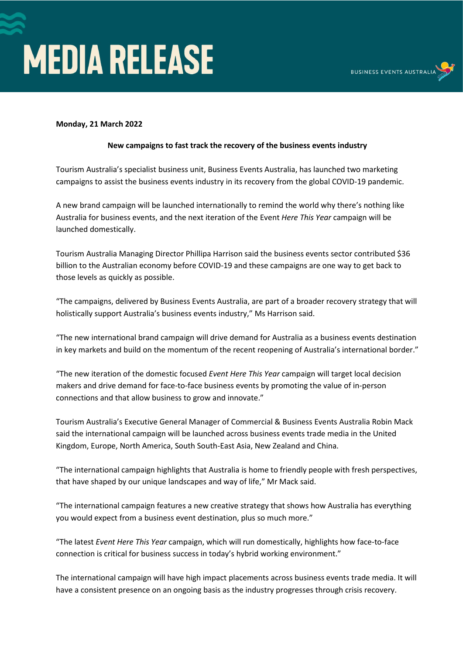



## **Monday, 21 March 2022**

## **New campaigns to fast track the recovery of the business events industry**

Tourism Australia's specialist business unit, Business Events Australia, has launched two marketing campaigns to assist the business events industry in its recovery from the global COVID-19 pandemic.

A new brand campaign will be launched internationally to remind the world why there's nothing like Australia for business events, and the next iteration of the Event *Here This Year* campaign will be launched domestically.

Tourism Australia Managing Director Phillipa Harrison said the business events sector contributed \$36 billion to the Australian economy before COVID-19 and these campaigns are one way to get back to those levels as quickly as possible.

"The campaigns, delivered by Business Events Australia, are part of a broader recovery strategy that will holistically support Australia's business events industry," Ms Harrison said.

"The new international brand campaign will drive demand for Australia as a business events destination in key markets and build on the momentum of the recent reopening of Australia's international border."

"The new iteration of the domestic focused *Event Here This Year* campaign will target local decision makers and drive demand for face-to-face business events by promoting the value of in-person connections and that allow business to grow and innovate."

Tourism Australia's Executive General Manager of Commercial & Business Events Australia Robin Mack said the international campaign will be launched across business events trade media in the United Kingdom, Europe, North America, South South-East Asia, New Zealand and China.

"The international campaign highlights that Australia is home to friendly people with fresh perspectives, that have shaped by our unique landscapes and way of life," Mr Mack said.

"The international campaign features a new creative strategy that shows how Australia has everything you would expect from a business event destination, plus so much more."

"The latest *Event Here This Year* campaign, which will run domestically, highlights how face-to-face connection is critical for business success in today's hybrid working environment."

The international campaign will have high impact placements across business events trade media. It will have a consistent presence on an ongoing basis as the industry progresses through crisis recovery.